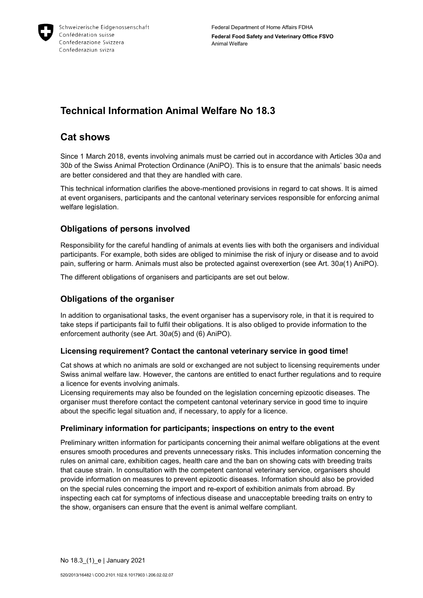

# **Technical Information Animal Welfare No 18.3**

# **Cat shows**

Since 1 March 2018, events involving animals must be carried out in accordance with Articles 30*a* and 30*b* of the Swiss Animal Protection Ordinance (AniPO). This is to ensure that the animals' basic needs are better considered and that they are handled with care.

This technical information clarifies the above-mentioned provisions in regard to cat shows. It is aimed at event organisers, participants and the cantonal veterinary services responsible for enforcing animal welfare legislation.

# **Obligations of persons involved**

Responsibility for the careful handling of animals at events lies with both the organisers and individual participants. For example, both sides are obliged to minimise the risk of injury or disease and to avoid pain, suffering or harm. Animals must also be protected against overexertion (see Art. 30*a*(1) AniPO).

The different obligations of organisers and participants are set out below.

# **Obligations of the organiser**

In addition to organisational tasks, the event organiser has a supervisory role, in that it is required to take steps if participants fail to fulfil their obligations. It is also obliged to provide information to the enforcement authority (see Art. 30*a*(5) and (6) AniPO).

# **Licensing requirement? Contact the cantonal veterinary service in good time!**

Cat shows at which no animals are sold or exchanged are not subject to licensing requirements under Swiss animal welfare law. However, the cantons are entitled to enact further regulations and to require a licence for events involving animals.

Licensing requirements may also be founded on the legislation concerning epizootic diseases. The organiser must therefore contact the competent cantonal veterinary service in good time to inquire about the specific legal situation and, if necessary, to apply for a licence.

# **Preliminary information for participants; inspections on entry to the event**

Preliminary written information for participants concerning their animal welfare obligations at the event ensures smooth procedures and prevents unnecessary risks. This includes information concerning the rules on animal care, exhibition cages, health care and the ban on showing cats with breeding traits that cause strain. In consultation with the competent cantonal veterinary service, organisers should provide information on measures to prevent epizootic diseases. Information should also be provided on the special rules concerning the import and re-export of exhibition animals from abroad. By inspecting each cat for symptoms of infectious disease and unacceptable breeding traits on entry to the show, organisers can ensure that the event is animal welfare compliant.

No 18.3\_(1)\_e | January 2021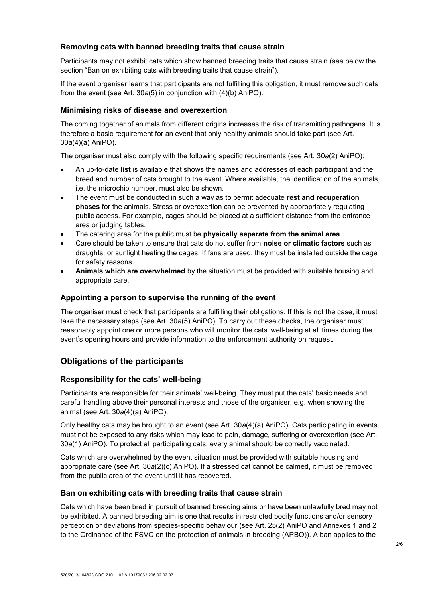## **Removing cats with banned breeding traits that cause strain**

Participants may not exhibit cats which show banned breeding traits that cause strain (see below the section "Ban on exhibiting cats with breeding traits that cause strain").

If the event organiser learns that participants are not fulfilling this obligation, it must remove such cats from the event (see Art. 30*a*(5) in conjunction with (4)(b) AniPO).

#### **Minimising risks of disease and overexertion**

The coming together of animals from different origins increases the risk of transmitting pathogens. It is therefore a basic requirement for an event that only healthy animals should take part (see Art. 30*a*(4)(a) AniPO).

The organiser must also comply with the following specific requirements (see Art. 30*a*(2) AniPO):

- An up-to-date **list** is available that shows the names and addresses of each participant and the breed and number of cats brought to the event. Where available, the identification of the animals, i.e. the microchip number, must also be shown.
- The event must be conducted in such a way as to permit adequate **rest and recuperation phases** for the animals. Stress or overexertion can be prevented by appropriately regulating public access. For example, cages should be placed at a sufficient distance from the entrance area or judging tables.
- The catering area for the public must be **physically separate from the animal area**.
- Care should be taken to ensure that cats do not suffer from **noise or climatic factors** such as draughts, or sunlight heating the cages. If fans are used, they must be installed outside the cage for safety reasons.
- **Animals which are overwhelmed** by the situation must be provided with suitable housing and appropriate care.

#### **Appointing a person to supervise the running of the event**

The organiser must check that participants are fulfilling their obligations. If this is not the case, it must take the necessary steps (see Art. 30*a*(5) AniPO). To carry out these checks, the organiser must reasonably appoint one or more persons who will monitor the cats' well-being at all times during the event's opening hours and provide information to the enforcement authority on request.

## **Obligations of the participants**

### **Responsibility for the cats' well-being**

Participants are responsible for their animals' well-being. They must put the cats' basic needs and careful handling above their personal interests and those of the organiser, e.g. when showing the animal (see Art. 30*a*(4)(a) AniPO).

Only healthy cats may be brought to an event (see Art. 30*a*(4)(a) AniPO). Cats participating in events must not be exposed to any risks which may lead to pain, damage, suffering or overexertion (see Art. 30*a*(1) AniPO). To protect all participating cats, every animal should be correctly vaccinated.

Cats which are overwhelmed by the event situation must be provided with suitable housing and appropriate care (see Art. 30*a*(2)(c) AniPO). If a stressed cat cannot be calmed, it must be removed from the public area of the event until it has recovered.

#### **Ban on exhibiting cats with breeding traits that cause strain**

Cats which have been bred in pursuit of banned breeding aims or have been unlawfully bred may not be exhibited. A banned breeding aim is one that results in restricted bodily functions and/or sensory perception or deviations from species-specific behaviour (see Art. 25(2) AniPO and Annexes 1 and 2 to the Ordinance of the FSVO on the protection of animals in breeding (APBO)). A ban applies to the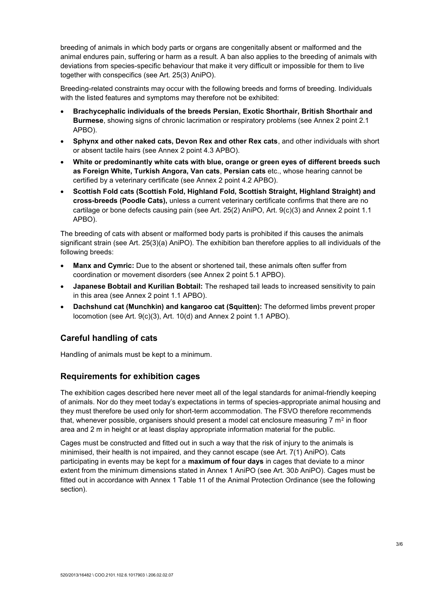breeding of animals in which body parts or organs are congenitally absent or malformed and the animal endures pain, suffering or harm as a result. A ban also applies to the breeding of animals with deviations from species-specific behaviour that make it very difficult or impossible for them to live together with conspecifics (see Art. 25(3) AniPO).

Breeding-related constraints may occur with the following breeds and forms of breeding. Individuals with the listed features and symptoms may therefore not be exhibited:

- **Brachycephalic individuals of the breeds Persian, Exotic Shorthair, British Shorthair and Burmese**, showing signs of chronic lacrimation or respiratory problems (see Annex 2 point 2.1 APBO).
- **Sphynx and other naked cats, Devon Rex and other Rex cats**, and other individuals with short or absent tactile hairs (see Annex 2 point 4.3 APBO).
- **White or predominantly white cats with blue, orange or green eyes of different breeds such as Foreign White, Turkish Angora, Van cats**, **Persian cats** etc., whose hearing cannot be certified by a veterinary certificate (see Annex 2 point 4.2 APBO).
- **Scottish Fold cats (Scottish Fold, Highland Fold, Scottish Straight, Highland Straight) and cross-breeds (Poodle Cats),** unless a current veterinary certificate confirms that there are no cartilage or bone defects causing pain (see Art. 25(2) AniPO, Art. 9(c)(3) and Annex 2 point 1.1 APBO).

The breeding of cats with absent or malformed body parts is prohibited if this causes the animals significant strain (see Art. 25(3)(a) AniPO). The exhibition ban therefore applies to all individuals of the following breeds:

- **Manx and Cymric:** Due to the absent or shortened tail, these animals often suffer from coordination or movement disorders (see Annex 2 point 5.1 APBO).
- **Japanese Bobtail and Kurilian Bobtail:** The reshaped tail leads to increased sensitivity to pain in this area (see Annex 2 point 1.1 APBO).
- **Dachshund cat (Munchkin) and kangaroo cat (Squitten):** The deformed limbs prevent proper locomotion (see Art. 9(c)(3), Art. 10(d) and Annex 2 point 1.1 APBO).

# **Careful handling of cats**

Handling of animals must be kept to a minimum.

# **Requirements for exhibition cages**

The exhibition cages described here never meet all of the legal standards for animal-friendly keeping of animals. Nor do they meet today's expectations in terms of species-appropriate animal housing and they must therefore be used only for short-term accommodation. The FSVO therefore recommends that, whenever possible, organisers should present a model cat enclosure measuring 7  $m^2$  in floor area and 2 m in height or at least display appropriate information material for the public.

Cages must be constructed and fitted out in such a way that the risk of injury to the animals is minimised, their health is not impaired, and they cannot escape (see Art. 7(1) AniPO). Cats participating in events may be kept for a **maximum of four days** in cages that deviate to a minor extent from the minimum dimensions stated in Annex 1 AniPO (see Art. 30*b* AniPO). Cages must be fitted out in accordance with Annex 1 Table 11 of the Animal Protection Ordinance (see the following section).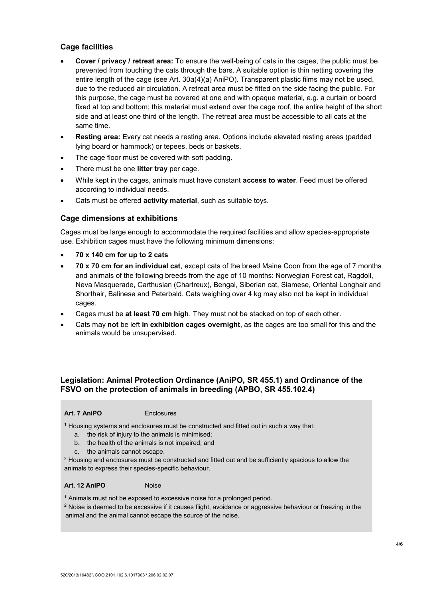## **Cage facilities**

- **Cover / privacy / retreat area:** To ensure the well-being of cats in the cages, the public must be prevented from touching the cats through the bars. A suitable option is thin netting covering the entire length of the cage (see Art. 30*a*(4)(a) AniPO). Transparent plastic films may not be used, due to the reduced air circulation. A retreat area must be fitted on the side facing the public. For this purpose, the cage must be covered at one end with opaque material, e.g. a curtain or board fixed at top and bottom; this material must extend over the cage roof, the entire height of the short side and at least one third of the length. The retreat area must be accessible to all cats at the same time.
- **Resting area:** Every cat needs a resting area. Options include elevated resting areas (padded lying board or hammock) or tepees, beds or baskets.
- The cage floor must be covered with soft padding.
- There must be one **litter tray** per cage.
- While kept in the cages, animals must have constant **access to water**. Feed must be offered according to individual needs.
- Cats must be offered **activity material**, such as suitable toys.

## **Cage dimensions at exhibitions**

Cages must be large enough to accommodate the required facilities and allow species-appropriate use. Exhibition cages must have the following minimum dimensions:

- **70 x 140 cm for up to 2 cats**
- **70 x 70 cm for an individual cat**, except cats of the breed Maine Coon from the age of 7 months and animals of the following breeds from the age of 10 months: Norwegian Forest cat, Ragdoll, Neva Masquerade, Carthusian (Chartreux), Bengal, Siberian cat, Siamese, Oriental Longhair and Shorthair, Balinese and Peterbald. Cats weighing over 4 kg may also not be kept in individual cages.
- Cages must be **at least 70 cm high**. They must not be stacked on top of each other.
- Cats may **not** be left **in exhibition cages overnight**, as the cages are too small for this and the animals would be unsupervised.

# **Legislation: Animal Protection Ordinance (AniPO, SR 455.1) and Ordinance of the FSVO on the protection of animals in breeding (APBO, SR 455.102.4)**

#### Art. 7 AniPO<br>
Enclosures

<sup>1</sup> Housing systems and enclosures must be constructed and fitted out in such a way that:

- a. the risk of injury to the animals is minimised;
- b. the health of the animals is not impaired; and
- c. the animals cannot escape.

<sup>2</sup> Housing and enclosures must be constructed and fitted out and be sufficiently spacious to allow the animals to express their species-specific behaviour.

#### Art. 12 AniPO<br>
Noise

<sup>1</sup> Animals must not be exposed to excessive noise for a prolonged period.

 $2$  Noise is deemed to be excessive if it causes flight, avoidance or aggressive behaviour or freezing in the animal and the animal cannot escape the source of the noise.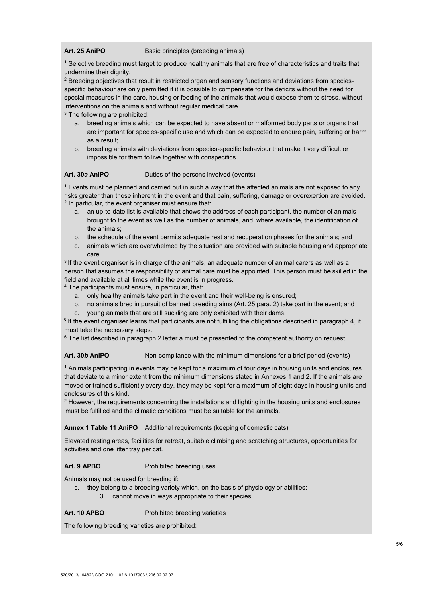#### Art. 25 AniPO Basic principles (breeding animals)

<sup>1</sup> Selective breeding must target to produce healthy animals that are free of characteristics and traits that undermine their dignity.

<sup>2</sup> Breeding objectives that result in restricted organ and sensory functions and deviations from speciesspecific behaviour are only permitted if it is possible to compensate for the deficits without the need for special measures in the care, housing or feeding of the animals that would expose them to stress, without interventions on the animals and without regular medical care.

<sup>3</sup> The following are prohibited:

- a. breeding animals which can be expected to have absent or malformed body parts or organs that are important for species-specific use and which can be expected to endure pain, suffering or harm as a result;
- b. breeding animals with deviations from species-specific behaviour that make it very difficult or impossible for them to live together with conspecifics.

#### **Art. 30***a* **AniPO** Duties of the persons involved (events)

 $1$  Events must be planned and carried out in such a way that the affected animals are not exposed to any risks greater than those inherent in the event and that pain, suffering, damage or overexertion are avoided.  $2$  In particular, the event organiser must ensure that:

- a. an up-to-date list is available that shows the address of each participant, the number of animals brought to the event as well as the number of animals, and, where available, the identification of the animals;
- b. the schedule of the event permits adequate rest and recuperation phases for the animals; and
- c. animals which are overwhelmed by the situation are provided with suitable housing and appropriate care.

 $3$  If the event organiser is in charge of the animals, an adequate number of animal carers as well as a person that assumes the responsibility of animal care must be appointed. This person must be skilled in the field and available at all times while the event is in progress.

<sup>4</sup> The participants must ensure, in particular, that:

- a. only healthy animals take part in the event and their well-being is ensured;
- b. no animals bred in pursuit of banned breeding aims (Art. 25 para. 2) take part in the event; and
- c. young animals that are still suckling are only exhibited with their dams.

5 If the event organiser learns that participants are not fulfilling the obligations described in paragraph 4, it must take the necessary steps.

 $6$  The list described in paragraph 2 letter a must be presented to the competent authority on request.

**Art. 30***b* **AniPO** Non-compliance with the minimum dimensions for a brief period (events)

<sup>1</sup> Animals participating in events may be kept for a maximum of four days in housing units and enclosures that deviate to a minor extent from the minimum dimensions stated in Annexes 1 and 2. If the animals are moved or trained sufficiently every day, they may be kept for a maximum of eight days in housing units and enclosures of this kind.

 $<sup>2</sup>$  However, the requirements concerning the installations and lighting in the housing units and enclosures</sup> must be fulfilled and the climatic conditions must be suitable for the animals.

#### **Annex 1 Table 11 AniPO** Additional requirements (keeping of domestic cats)

Elevated resting areas, facilities for retreat, suitable climbing and scratching structures, opportunities for activities and one litter tray per cat.

#### **Art. 9 APBO** Prohibited breeding uses

Animals may not be used for breeding if:

c. they belong to a breeding variety which, on the basis of physiology or abilities: 3. cannot move in ways appropriate to their species.

Art. 10 APBO<br> **Prohibited breeding varieties** 

The following breeding varieties are prohibited: